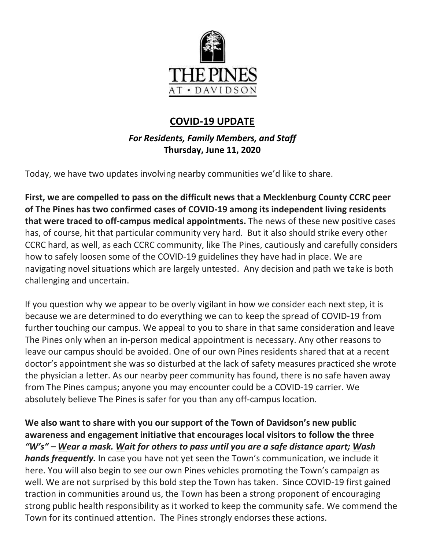

# **COVID-19 UPDATE**

*For Residents, Family Members, and Staff* **Thursday, June 11, 2020**

Today, we have two updates involving nearby communities we'd like to share.

**First, we are compelled to pass on the difficult news that a Mecklenburg County CCRC peer of The Pines has two confirmed cases of COVID-19 among its independent living residents that were traced to off-campus medical appointments.** The news of these new positive cases has, of course, hit that particular community very hard. But it also should strike every other CCRC hard, as well, as each CCRC community, like The Pines, cautiously and carefully considers how to safely loosen some of the COVID-19 guidelines they have had in place. We are navigating novel situations which are largely untested. Any decision and path we take is both challenging and uncertain.

If you question why we appear to be overly vigilant in how we consider each next step, it is because we are determined to do everything we can to keep the spread of COVID-19 from further touching our campus. We appeal to you to share in that same consideration and leave The Pines only when an in-person medical appointment is necessary. Any other reasons to leave our campus should be avoided. One of our own Pines residents shared that at a recent doctor's appointment she was so disturbed at the lack of safety measures practiced she wrote the physician a letter. As our nearby peer community has found, there is no safe haven away from The Pines campus; anyone you may encounter could be a COVID-19 carrier. We absolutely believe The Pines is safer for you than any off-campus location.

**We also want to share with you our support of the Town of Davidson's new public awareness and engagement initiative that encourages local visitors to follow the three** *"W's" – Wear a mask. Wait for others to pass until you are a safe distance apart; Wash hands frequently.* In case you have not yet seen the Town's communication, we include it here. You will also begin to see our own Pines vehicles promoting the Town's campaign as well. We are not surprised by this bold step the Town has taken. Since COVID-19 first gained traction in communities around us, the Town has been a strong proponent of encouraging strong public health responsibility as it worked to keep the community safe. We commend the Town for its continued attention. The Pines strongly endorses these actions.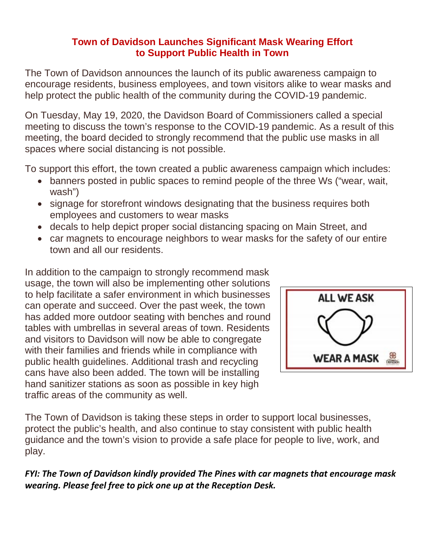### **Town of Davidson Launches Significant Mask Wearing Effort to Support Public Health in Town**

The Town of Davidson announces the launch of its public awareness campaign to encourage residents, business employees, and town visitors alike to wear masks and help protect the public health of the community during the COVID-19 pandemic.

On Tuesday, May 19, 2020, the Davidson Board of Commissioners called a special meeting to discuss the town's response to the COVID-19 pandemic. As a result of this meeting, the board decided to strongly recommend that the public use masks in all spaces where social distancing is not possible.

To support this effort, the town created a public awareness campaign which includes:

- banners posted in public spaces to remind people of the three Ws ("wear, wait, wash")
- signage for storefront windows designating that the business requires both employees and customers to wear masks
- decals to help depict proper social distancing spacing on Main Street, and
- car magnets to encourage neighbors to wear masks for the safety of our entire town and all our residents.

In addition to the campaign to strongly recommend mask usage, the town will also be implementing other solutions to help facilitate a safer environment in which businesses can operate and succeed. Over the past week, the town has added more outdoor seating with benches and round tables with umbrellas in several areas of town. Residents and visitors to Davidson will now be able to congregate with their families and friends while in compliance with public health guidelines. Additional trash and recycling cans have also been added. The town will be installing hand sanitizer stations as soon as possible in key high traffic areas of the community as well.



The Town of Davidson is taking these steps in order to support local businesses, protect the public's health, and also continue to stay consistent with public health guidance and the town's vision to provide a safe place for people to live, work, and play.

## *FYI: The Town of Davidson kindly provided The Pines with car magnets that encourage mask wearing. Please feel free to pick one up at the Reception Desk.*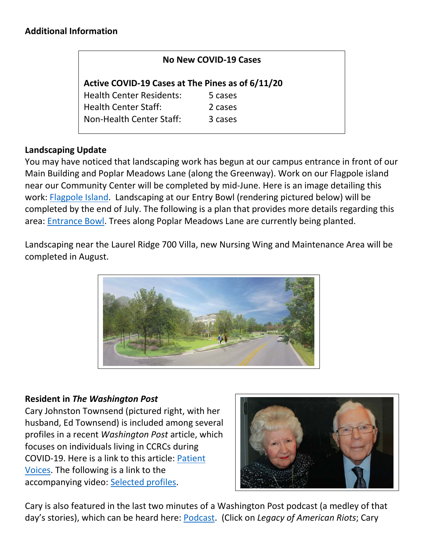| No New COVID-19 Cases                            |  |
|--------------------------------------------------|--|
| Active COVID-19 Cases at The Pines as of 6/11/20 |  |
| 5 cases                                          |  |
| 2 cases                                          |  |
| 3 cases                                          |  |
|                                                  |  |

### **Landscaping Update**

You may have noticed that landscaping work has begun at our campus entrance in front of our Main Building and Poplar Meadows Lane (along the Greenway). Work on our Flagpole island near our Community Center will be completed by mid-June. Here is an image detailing this work: [Flagpole Island.](https://www.mycommunity-center.com/filephotos/463/flagpoleJune.PNG) Landscaping at our Entry Bowl (rendering pictured below) will be completed by the end of July. The following is a plan that provides more details regarding this area: [Entrance Bowl.](https://www.mycommunity-center.com/filephotos/463/bowlJune.PNG) Trees along Poplar Meadows Lane are currently being planted.

Landscaping near the Laurel Ridge 700 Villa, new Nursing Wing and Maintenance Area will be completed in August.



#### **Resident in** *The Washington Post*

Cary Johnston Townsend (pictured right, with her husband, Ed Townsend) is included among several profiles in a recent *Washington Post* article, which focuses on individuals living in CCRCs during COVID-19. Here is a link to this article: [Patient](https://www.washingtonpost.com/graphics/2020/local/social-issues/coronavirus/nursing-homes-patients-voices-covid-19/)  [Voices.](https://www.washingtonpost.com/graphics/2020/local/social-issues/coronavirus/nursing-homes-patients-voices-covid-19/) The following is a link to the accompanying video: [Selected profiles.](https://wapo.st/3c9IeUf)



Cary is also featured in the last two minutes of a Washington Post podcast (a medley of that day's stories), which can be heard here: [Podcast.](https://www.washingtonpost.com/podcasts/post-reports/) (Click on *Legacy of American Riots*; Cary